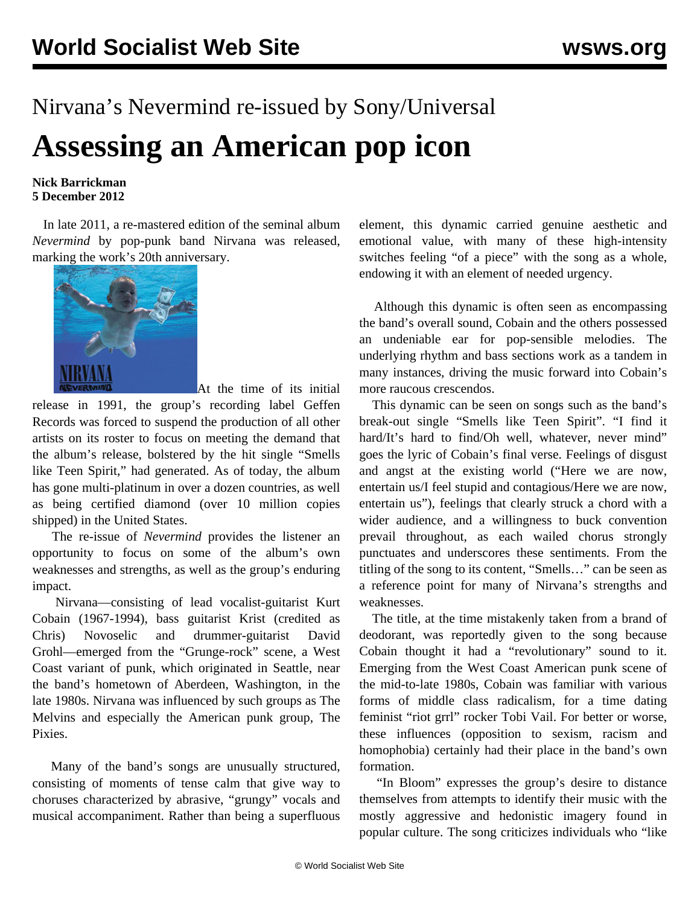## Nirvana's Nevermind re-issued by Sony/Universal **Assessing an American pop icon**

## **Nick Barrickman 5 December 2012**

 In late 2011, a re-mastered edition of the seminal album *Nevermind* by pop-punk band Nirvana was released, marking the work's 20th anniversary.



At the time of its initial

release in 1991, the group's recording label Geffen Records was forced to suspend the production of all other artists on its roster to focus on meeting the demand that the album's release, bolstered by the hit single "Smells like Teen Spirit," had generated. As of today, the album has gone multi-platinum in over a dozen countries, as well as being certified diamond (over 10 million copies shipped) in the United States.

 The re-issue of *Nevermind* provides the listener an opportunity to focus on some of the album's own weaknesses and strengths, as well as the group's enduring impact.

 Nirvana—consisting of lead vocalist-guitarist Kurt Cobain (1967-1994), bass guitarist Krist (credited as Chris) Novoselic and drummer-guitarist David Grohl—emerged from the "Grunge-rock" scene, a West Coast variant of punk, which originated in Seattle, near the band's hometown of Aberdeen, Washington, in the late 1980s. Nirvana was influenced by such groups as The Melvins and especially the American punk group, The **Pixies**.

 Many of the band's songs are unusually structured, consisting of moments of tense calm that give way to choruses characterized by abrasive, "grungy" vocals and musical accompaniment. Rather than being a superfluous

element, this dynamic carried genuine aesthetic and emotional value, with many of these high-intensity switches feeling "of a piece" with the song as a whole, endowing it with an element of needed urgency.

 Although this dynamic is often seen as encompassing the band's overall sound, Cobain and the others possessed an undeniable ear for pop-sensible melodies. The underlying rhythm and bass sections work as a tandem in many instances, driving the music forward into Cobain's more raucous crescendos.

 This dynamic can be seen on songs such as the band's break-out single "Smells like Teen Spirit". "I find it hard/It's hard to find/Oh well, whatever, never mind" goes the lyric of Cobain's final verse. Feelings of disgust and angst at the existing world ("Here we are now, entertain us/I feel stupid and contagious/Here we are now, entertain us"), feelings that clearly struck a chord with a wider audience, and a willingness to buck convention prevail throughout, as each wailed chorus strongly punctuates and underscores these sentiments. From the titling of the song to its content, "Smells…" can be seen as a reference point for many of Nirvana's strengths and weaknesses.

 The title, at the time mistakenly taken from a brand of deodorant, was reportedly given to the song because Cobain thought it had a "revolutionary" sound to it. Emerging from the West Coast American punk scene of the mid-to-late 1980s, Cobain was familiar with various forms of middle class radicalism, for a time dating feminist "riot grrl" rocker Tobi Vail. For better or worse, these influences (opposition to sexism, racism and homophobia) certainly had their place in the band's own formation.

 "In Bloom" expresses the group's desire to distance themselves from attempts to identify their music with the mostly aggressive and hedonistic imagery found in popular culture. The song criticizes individuals who "like